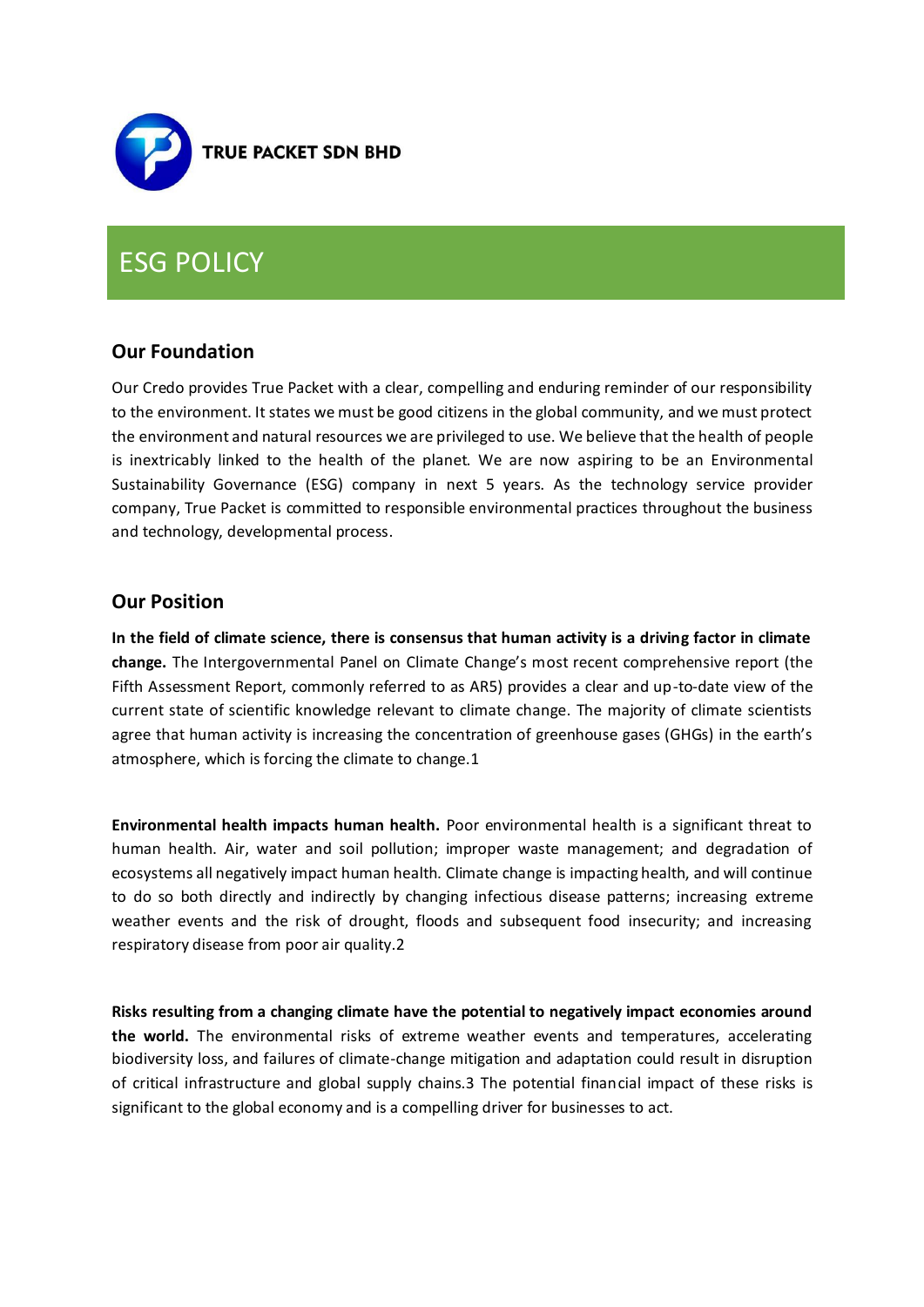

# ESG POLICY

## **Our Foundation**

Our Credo provides True Packet with a clear, compelling and enduring reminder of our responsibility to the environment. It states we must be good citizens in the global community, and we must protect the environment and natural resources we are privileged to use. We believe that the health of people is inextricably linked to the health of the planet. We are now aspiring to be an Environmental Sustainability Governance (ESG) company in next 5 years. As the technology service provider company, True Packet is committed to responsible environmental practices throughout the business and technology, developmental process.

#### **Our Position**

**In the field of climate science, there is consensus that human activity is a driving factor in climate change.** The Intergovernmental Panel on Climate Change's most recent comprehensive report (the Fifth Assessment Report, commonly referred to as AR5) provides a clear and up-to-date view of the current state of scientific knowledge relevant to climate change. The majority of climate scientists agree that human activity is increasing the concentration of greenhouse gases (GHGs) in the earth's atmosphere, which is forcing the climate to change.1

**Environmental health impacts human health.** Poor environmental health is a significant threat to human health. Air, water and soil pollution; improper waste management; and degradation of ecosystems all negatively impact human health. Climate change is impacting health, and will continue to do so both directly and indirectly by changing infectious disease patterns; increasing extreme weather events and the risk of drought, floods and subsequent food insecurity; and increasing respiratory disease from poor air quality.2

**Risks resulting from a changing climate have the potential to negatively impact economies around the world.** The environmental risks of extreme weather events and temperatures, accelerating biodiversity loss, and failures of climate-change mitigation and adaptation could result in disruption of critical infrastructure and global supply chains.3 The potential financial impact of these risks is significant to the global economy and is a compelling driver for businesses to act.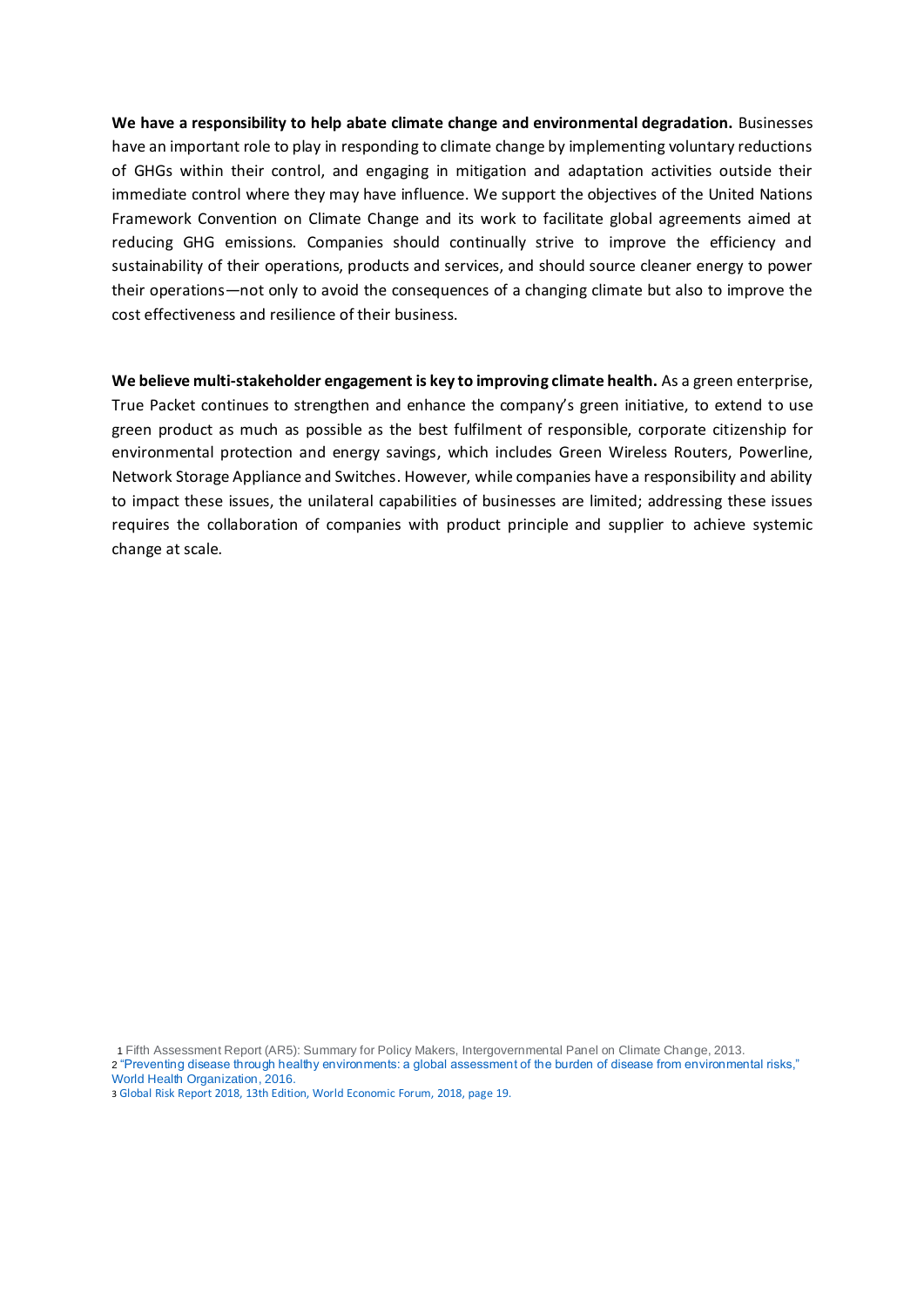**We have a responsibility to help abate climate change and environmental degradation.** Businesses have an important role to play in responding to climate change by implementing voluntary reductions of GHGs within their control, and engaging in mitigation and adaptation activities outside their immediate control where they may have influence. We support the objectives of the United Nations Framework Convention on Climate Change and its work to facilitate global agreements aimed at reducing GHG emissions. Companies should continually strive to improve the efficiency and sustainability of their operations, products and services, and should source cleaner energy to power their operations—not only to avoid the consequences of a changing climate but also to improve the cost effectiveness and resilience of their business.

**We believe multi-stakeholder engagement is key to improving climate health.** As a green enterprise, True Packet continues to strengthen and enhance the company's green initiative, to extend to use green product as much as possible as the best fulfilment of responsible, corporate citizenship for environmental protection and energy savings, which includes Green Wireless Routers, Powerline, Network Storage Appliance and Switches. However, while companies have a responsibility and ability to impact these issues, the unilateral capabilities of businesses are limited; addressing these issues requires the collaboration of companies with product principle and supplier to achieve systemic change at scale.

<sup>1</sup> Fifth Assessment Report (AR5): Summary for Policy Makers, Intergovernmental Panel on Climate Change, 2013. 2 "Preventing disease through healthy environments: a global assessment of the burden of disease from environmental risks," World Health Organization, 2016.

<sup>3</sup> Global Risk Report 2018, 13th Edition, World Economic Forum, 2018, page 19.